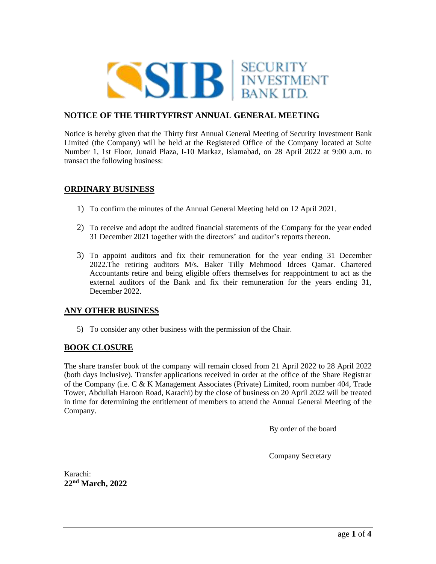

# **NOTICE OF THE THIRTYFIRST ANNUAL GENERAL MEETING**

Notice is hereby given that the Thirty first Annual General Meeting of Security Investment Bank Limited (the Company) will be held at the Registered Office of the Company located at Suite Number 1, 1st Floor, Junaid Plaza, I-10 Markaz, Islamabad, on 28 April 2022 at 9:00 a.m. to transact the following business:

## **ORDINARY BUSINESS**

- 1) To confirm the minutes of the Annual General Meeting held on 12 April 2021.
- 2) To receive and adopt the audited financial statements of the Company for the year ended 31 December 2021 together with the directors' and auditor's reports thereon.
- 3) To appoint auditors and fix their remuneration for the year ending 31 December 2022.The retiring auditors M/s. Baker Tilly Mehmood Idrees Qamar. Chartered Accountants retire and being eligible offers themselves for reappointment to act as the external auditors of the Bank and fix their remuneration for the years ending 31, December 2022.

## **ANY OTHER BUSINESS**

5) To consider any other business with the permission of the Chair.

## **BOOK CLOSURE**

The share transfer book of the company will remain closed from 21 April 2022 to 28 April 2022 (both days inclusive). Transfer applications received in order at the office of the Share Registrar of the Company (i.e. C & K Management Associates (Private) Limited, room number 404, Trade Tower, Abdullah Haroon Road, Karachi) by the close of business on 20 April 2022 will be treated in time for determining the entitlement of members to attend the Annual General Meeting of the Company.

By order of the board

Company Secretary

Karachi: **22nd March, 2022**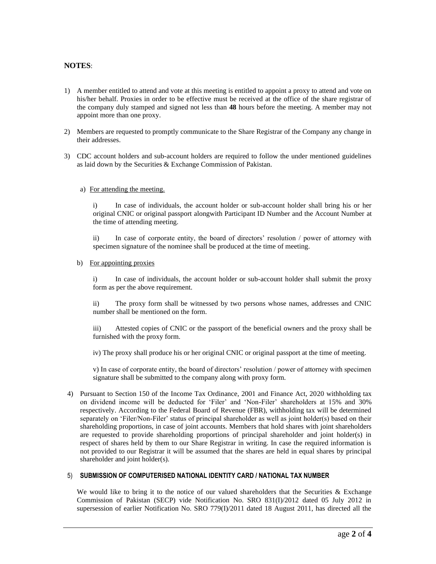### **NOTES**:

- 1) A member entitled to attend and vote at this meeting is entitled to appoint a proxy to attend and vote on his/her behalf. Proxies in order to be effective must be received at the office of the share registrar of the company duly stamped and signed not less than **48** hours before the meeting. A member may not appoint more than one proxy.
- 2) Members are requested to promptly communicate to the Share Registrar of the Company any change in their addresses.
- 3) CDC account holders and sub-account holders are required to follow the under mentioned guidelines as laid down by the Securities & Exchange Commission of Pakistan.

#### a) For attending the meeting.

i) In case of individuals, the account holder or sub-account holder shall bring his or her original CNIC or original passport alongwith Participant ID Number and the Account Number at the time of attending meeting.

ii) In case of corporate entity, the board of directors' resolution / power of attorney with specimen signature of the nominee shall be produced at the time of meeting.

#### b) For appointing proxies

i) In case of individuals, the account holder or sub-account holder shall submit the proxy form as per the above requirement.

ii) The proxy form shall be witnessed by two persons whose names, addresses and CNIC number shall be mentioned on the form.

iii) Attested copies of CNIC or the passport of the beneficial owners and the proxy shall be furnished with the proxy form.

iv) The proxy shall produce his or her original CNIC or original passport at the time of meeting.

v) In case of corporate entity, the board of directors' resolution / power of attorney with specimen signature shall be submitted to the company along with proxy form.

4) Pursuant to Section 150 of the Income Tax Ordinance, 2001 and Finance Act, 2020 withholding tax on dividend income will be deducted for 'Filer' and 'Non-Filer' shareholders at 15% and 30% respectively. According to the Federal Board of Revenue (FBR), withholding tax will be determined separately on 'Filer/Non-Filer' status of principal shareholder as well as joint holder(s) based on their shareholding proportions, in case of joint accounts. Members that hold shares with joint shareholders are requested to provide shareholding proportions of principal shareholder and joint holder(s) in respect of shares held by them to our Share Registrar in writing. In case the required information is not provided to our Registrar it will be assumed that the shares are held in equal shares by principal shareholder and joint holder(s).

### 5) **SUBMISSION OF COMPUTERISED NATIONAL IDENTITY CARD / NATIONAL TAX NUMBER**

We would like to bring it to the notice of our valued shareholders that the Securities  $\&$  Exchange Commission of Pakistan (SECP) vide Notification No. SRO 831(I)/2012 dated 05 July 2012 in supersession of earlier Notification No. SRO 779(I)/2011 dated 18 August 2011, has directed all the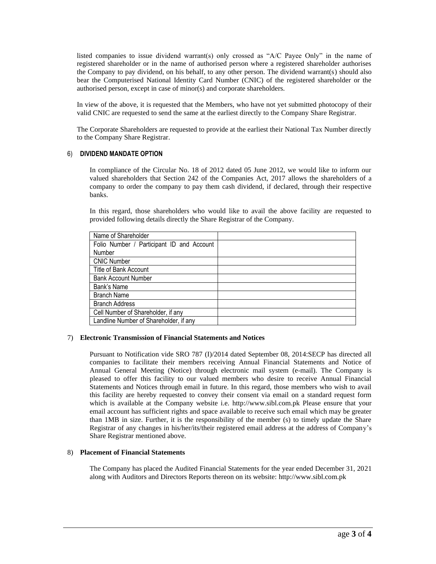listed companies to issue dividend warrant(s) only crossed as "A/C Payee Only" in the name of registered shareholder or in the name of authorised person where a registered shareholder authorises the Company to pay dividend, on his behalf, to any other person. The dividend warrant(s) should also bear the Computerised National Identity Card Number (CNIC) of the registered shareholder or the authorised person, except in case of minor(s) and corporate shareholders.

In view of the above, it is requested that the Members, who have not yet submitted photocopy of their valid CNIC are requested to send the same at the earliest directly to the Company Share Registrar.

The Corporate Shareholders are requested to provide at the earliest their National Tax Number directly to the Company Share Registrar.

### 6) **DIVIDEND MANDATE OPTION**

In compliance of the Circular No. 18 of 2012 dated 05 June 2012, we would like to inform our valued shareholders that Section 242 of the Companies Act, 2017 allows the shareholders of a company to order the company to pay them cash dividend, if declared, through their respective banks.

In this regard, those shareholders who would like to avail the above facility are requested to provided following details directly the Share Registrar of the Company.

| Name of Shareholder                       |  |
|-------------------------------------------|--|
| Folio Number / Participant ID and Account |  |
| Number                                    |  |
| <b>CNIC Number</b>                        |  |
| Title of Bank Account                     |  |
| <b>Bank Account Number</b>                |  |
| Bank's Name                               |  |
| <b>Branch Name</b>                        |  |
| <b>Branch Address</b>                     |  |
| Cell Number of Shareholder, if any        |  |
| Landline Number of Shareholder, if any    |  |

#### 7) **Electronic Transmission of Financial Statements and Notices**

Pursuant to Notification vide SRO 787 (I)/2014 dated September 08, 2014:SECP has directed all companies to facilitate their members receiving Annual Financial Statements and Notice of Annual General Meeting (Notice) through electronic mail system (e-mail). The Company is pleased to offer this facility to our valued members who desire to receive Annual Financial Statements and Notices through email in future. In this regard, those members who wish to avail this facility are hereby requested to convey their consent via email on a standard request form which is available at the Company website i.e. [http://www.sibl.com.pk](http://www.sibl.com.pk/) Please ensure that your email account has sufficient rights and space available to receive such email which may be greater than 1MB in size. Further, it is the responsibility of the member (s) to timely update the Share Registrar of any changes in his/her/its/their registered email address at the address of Company's Share Registrar mentioned above.

#### 8) **Placement of Financial Statements**

The Company has placed the Audited Financial Statements for the year ended December 31, 2021 along with Auditors and Directors Reports thereon on its website: [http://www.sibl.com.pk](http://www.sibl.com.pk/)